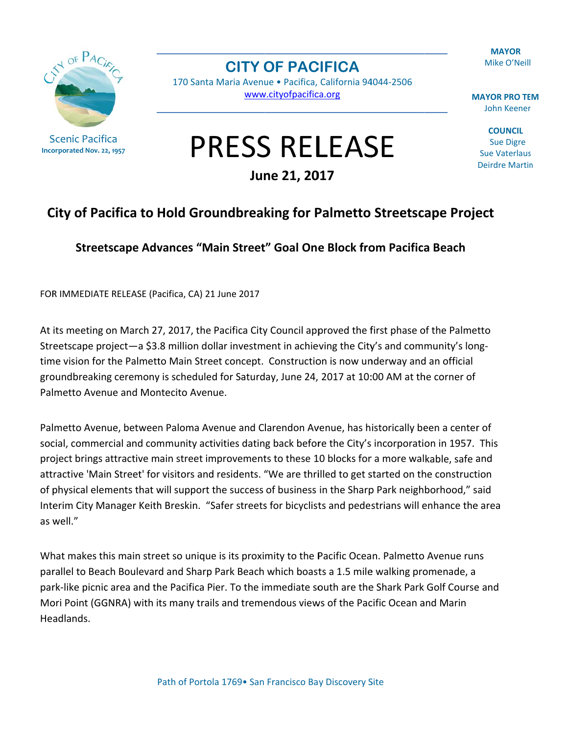**MAYOR** Mike O'Neill



**Scenic Pacifica** Incorporated Nov. 22, 1957 **CITY OF PACIFICA** 

170 Santa Maria Avenue · Pacifica, California 94044-2506 www.cityofpacifica.org

**MAYOR PRO TEM** John Keener

> **COUNCIL Sue Digre Sue Vaterlaus Deirdre Martin**

## **PRESS RELEASE**

June 21, 2017

## City of Pacifica to Hold Groundbreaking for Palmetto Streetscape Project

## **Streetscape Advances "Main Street" Goal One Block from Pacifica Beach**

FOR IMMEDIATE RELEASE (Pacifica, CA) 21 June 2017

At its meeting on March 27, 2017, the Pacifica City Council approved the first phase of the Palmetto Streetscape project-a \$3.8 million dollar investment in achieving the City's and community's longtime vision for the Palmetto Main Street concept. Construction is now underway and an official groundbreaking ceremony is scheduled for Saturday, June 24, 2017 at 10:00 AM at the corner of Palmetto Avenue and Montecito Avenue.

Palmetto Avenue, between Paloma Avenue and Clarendon Avenue, has historically been a center of social, commercial and community activities dating back before the City's incorporation in 1957. This project brings attractive main street improvements to these 10 blocks for a more walkable, safe and attractive 'Main Street' for visitors and residents. "We are thrilled to get started on the construction of physical elements that will support the success of business in the Sharp Park neighborhood," said Interim City Manager Keith Breskin. "Safer streets for bicyclists and pedestrians will enhance the area as well."

What makes this main street so unique is its proximity to the Pacific Ocean. Palmetto Avenue runs parallel to Beach Boulevard and Sharp Park Beach which boasts a 1.5 mile walking promenade, a park-like picnic area and the Pacifica Pier. To the immediate south are the Shark Park Golf Course and Mori Point (GGNRA) with its many trails and tremendous views of the Pacific Ocean and Marin Headlands.